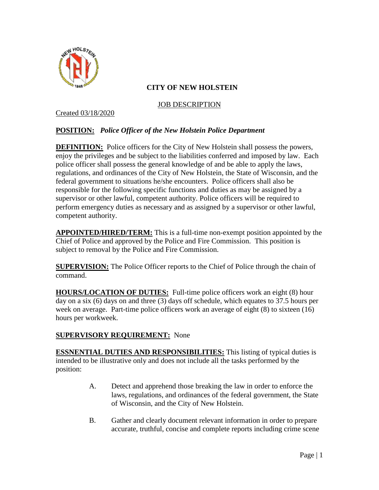

JOB DESCRIPTION

Created 03/18/2020

# **POSITION:** *Police Officer of the New Holstein Police Department*

**DEFINITION:** Police officers for the City of New Holstein shall possess the powers, enjoy the privileges and be subject to the liabilities conferred and imposed by law. Each police officer shall possess the general knowledge of and be able to apply the laws, regulations, and ordinances of the City of New Holstein, the State of Wisconsin, and the federal government to situations he/she encounters. Police officers shall also be responsible for the following specific functions and duties as may be assigned by a supervisor or other lawful, competent authority. Police officers will be required to perform emergency duties as necessary and as assigned by a supervisor or other lawful, competent authority.

**APPOINTED/HIRED/TERM:** This is a full-time non-exempt position appointed by the Chief of Police and approved by the Police and Fire Commission. This position is subject to removal by the Police and Fire Commission.

**SUPERVISION:** The Police Officer reports to the Chief of Police through the chain of command.

**HOURS/LOCATION OF DUTIES:** Full-time police officers work an eight (8) hour day on a six (6) days on and three (3) days off schedule, which equates to 37.5 hours per week on average. Part-time police officers work an average of eight (8) to sixteen (16) hours per workweek.

# **SUPERVISORY REQUIREMENT:** None

**ESSNENTIAL DUTIES AND RESPONSIBILITIES:** This listing of typical duties is intended to be illustrative only and does not include all the tasks performed by the position:

- A. Detect and apprehend those breaking the law in order to enforce the laws, regulations, and ordinances of the federal government, the State of Wisconsin, and the City of New Holstein.
- B. Gather and clearly document relevant information in order to prepare accurate, truthful, concise and complete reports including crime scene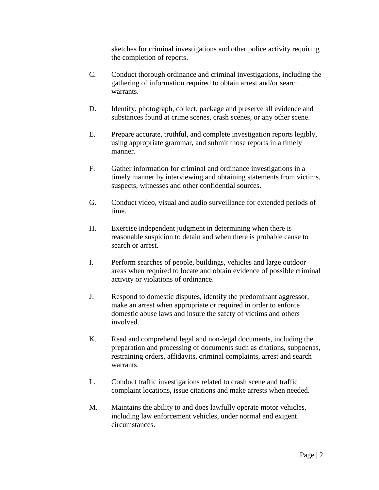sketches for criminal investigations and other police activity requiring the completion of reports.

- C. Conduct thorough ordinance and criminal investigations, including the gathering of information required to obtain arrest and/or search warrants.
- D. Identify, photograph, collect, package and preserve all evidence and substances found at crime scenes, crash scenes, or any other scene.
- E. Prepare accurate, truthful, and complete investigation reports legibly, using appropriate grammar, and submit those reports in a timely manner.
- F. Gather information for criminal and ordinance investigations in a timely manner by interviewing and obtaining statements from victims, suspects, witnesses and other confidential sources.
- G. Conduct video, visual and audio surveillance for extended periods of time.
- H. Exercise independent judgment in determining when there is reasonable suspicion to detain and when there is probable cause to search or arrest.
- I. Perform searches of people, buildings, vehicles and large outdoor areas when required to locate and obtain evidence of possible criminal activity or violations of ordinance.
- J. Respond to domestic disputes, identify the predominant aggressor, make an arrest when appropriate or required in order to enforce domestic abuse laws and insure the safety of victims and others involved.
- K. Read and comprehend legal and non-legal documents, including the preparation and processing of documents such as citations, subpoenas, restraining orders, affidavits, criminal complaints, arrest and search warrants.
- L. Conduct traffic investigations related to crash scene and traffic complaint locations, issue citations and make arrests when needed.
- M. Maintains the ability to and does lawfully operate motor vehicles, including law enforcement vehicles, under normal and exigent circumstances.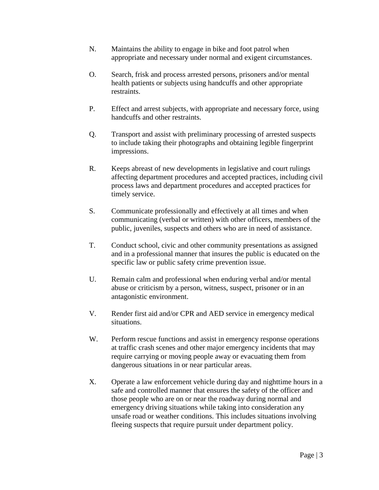- N. Maintains the ability to engage in bike and foot patrol when appropriate and necessary under normal and exigent circumstances.
- O. Search, frisk and process arrested persons, prisoners and/or mental health patients or subjects using handcuffs and other appropriate restraints.
- P. Effect and arrest subjects, with appropriate and necessary force, using handcuffs and other restraints.
- Q. Transport and assist with preliminary processing of arrested suspects to include taking their photographs and obtaining legible fingerprint impressions.
- R. Keeps abreast of new developments in legislative and court rulings affecting department procedures and accepted practices, including civil process laws and department procedures and accepted practices for timely service.
- S. Communicate professionally and effectively at all times and when communicating (verbal or written) with other officers, members of the public, juveniles, suspects and others who are in need of assistance.
- T. Conduct school, civic and other community presentations as assigned and in a professional manner that insures the public is educated on the specific law or public safety crime prevention issue.
- U. Remain calm and professional when enduring verbal and/or mental abuse or criticism by a person, witness, suspect, prisoner or in an antagonistic environment.
- V. Render first aid and/or CPR and AED service in emergency medical situations.
- W. Perform rescue functions and assist in emergency response operations at traffic crash scenes and other major emergency incidents that may require carrying or moving people away or evacuating them from dangerous situations in or near particular areas.
- X. Operate a law enforcement vehicle during day and nighttime hours in a safe and controlled manner that ensures the safety of the officer and those people who are on or near the roadway during normal and emergency driving situations while taking into consideration any unsafe road or weather conditions. This includes situations involving fleeing suspects that require pursuit under department policy.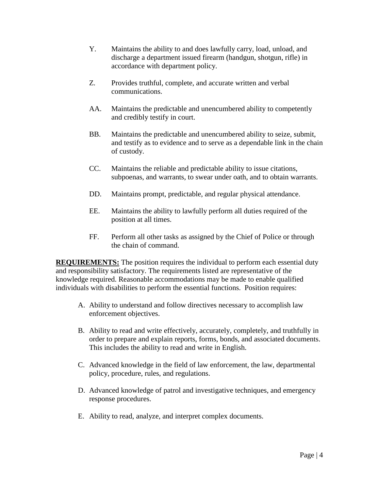- Y. Maintains the ability to and does lawfully carry, load, unload, and discharge a department issued firearm (handgun, shotgun, rifle) in accordance with department policy.
- Z. Provides truthful, complete, and accurate written and verbal communications.
- AA. Maintains the predictable and unencumbered ability to competently and credibly testify in court.
- BB. Maintains the predictable and unencumbered ability to seize, submit, and testify as to evidence and to serve as a dependable link in the chain of custody.
- CC. Maintains the reliable and predictable ability to issue citations, subpoenas, and warrants, to swear under oath, and to obtain warrants.
- DD. Maintains prompt, predictable, and regular physical attendance.
- EE. Maintains the ability to lawfully perform all duties required of the position at all times.
- FF. Perform all other tasks as assigned by the Chief of Police or through the chain of command.

**REQUIREMENTS:** The position requires the individual to perform each essential duty and responsibility satisfactory. The requirements listed are representative of the knowledge required. Reasonable accommodations may be made to enable qualified individuals with disabilities to perform the essential functions. Position requires:

- A. Ability to understand and follow directives necessary to accomplish law enforcement objectives.
- B. Ability to read and write effectively, accurately, completely, and truthfully in order to prepare and explain reports, forms, bonds, and associated documents. This includes the ability to read and write in English.
- C. Advanced knowledge in the field of law enforcement, the law, departmental policy, procedure, rules, and regulations.
- D. Advanced knowledge of patrol and investigative techniques, and emergency response procedures.
- E. Ability to read, analyze, and interpret complex documents.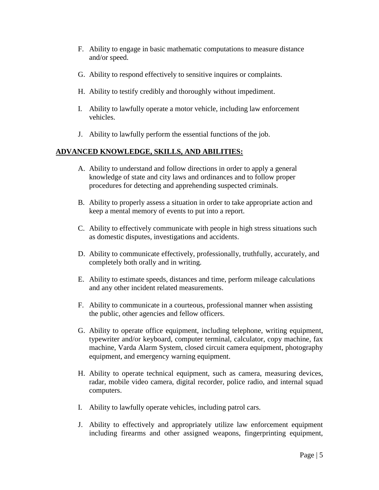- F. Ability to engage in basic mathematic computations to measure distance and/or speed.
- G. Ability to respond effectively to sensitive inquires or complaints.
- H. Ability to testify credibly and thoroughly without impediment.
- I. Ability to lawfully operate a motor vehicle, including law enforcement vehicles.
- J. Ability to lawfully perform the essential functions of the job.

# **ADVANCED KNOWLEDGE, SKILLS, AND ABILITIES:**

- A. Ability to understand and follow directions in order to apply a general knowledge of state and city laws and ordinances and to follow proper procedures for detecting and apprehending suspected criminals.
- B. Ability to properly assess a situation in order to take appropriate action and keep a mental memory of events to put into a report.
- C. Ability to effectively communicate with people in high stress situations such as domestic disputes, investigations and accidents.
- D. Ability to communicate effectively, professionally, truthfully, accurately, and completely both orally and in writing.
- E. Ability to estimate speeds, distances and time, perform mileage calculations and any other incident related measurements.
- F. Ability to communicate in a courteous, professional manner when assisting the public, other agencies and fellow officers.
- G. Ability to operate office equipment, including telephone, writing equipment, typewriter and/or keyboard, computer terminal, calculator, copy machine, fax machine, Varda Alarm System, closed circuit camera equipment, photography equipment, and emergency warning equipment.
- H. Ability to operate technical equipment, such as camera, measuring devices, radar, mobile video camera, digital recorder, police radio, and internal squad computers.
- I. Ability to lawfully operate vehicles, including patrol cars.
- J. Ability to effectively and appropriately utilize law enforcement equipment including firearms and other assigned weapons, fingerprinting equipment,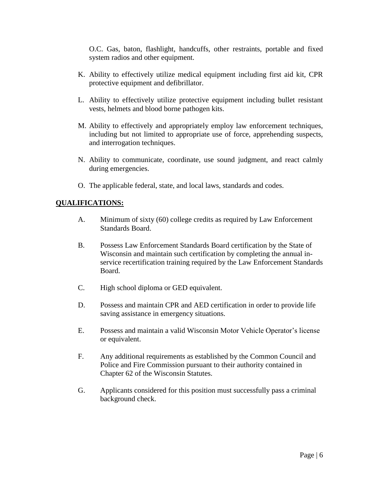O.C. Gas, baton, flashlight, handcuffs, other restraints, portable and fixed system radios and other equipment.

- K. Ability to effectively utilize medical equipment including first aid kit, CPR protective equipment and defibrillator.
- L. Ability to effectively utilize protective equipment including bullet resistant vests, helmets and blood borne pathogen kits.
- M. Ability to effectively and appropriately employ law enforcement techniques, including but not limited to appropriate use of force, apprehending suspects, and interrogation techniques.
- N. Ability to communicate, coordinate, use sound judgment, and react calmly during emergencies.
- O. The applicable federal, state, and local laws, standards and codes.

# **QUALIFICATIONS:**

- A. Minimum of sixty (60) college credits as required by Law Enforcement Standards Board.
- B. Possess Law Enforcement Standards Board certification by the State of Wisconsin and maintain such certification by completing the annual inservice recertification training required by the Law Enforcement Standards Board.
- C. High school diploma or GED equivalent.
- D. Possess and maintain CPR and AED certification in order to provide life saving assistance in emergency situations.
- E. Possess and maintain a valid Wisconsin Motor Vehicle Operator's license or equivalent.
- F. Any additional requirements as established by the Common Council and Police and Fire Commission pursuant to their authority contained in Chapter 62 of the Wisconsin Statutes.
- G. Applicants considered for this position must successfully pass a criminal background check.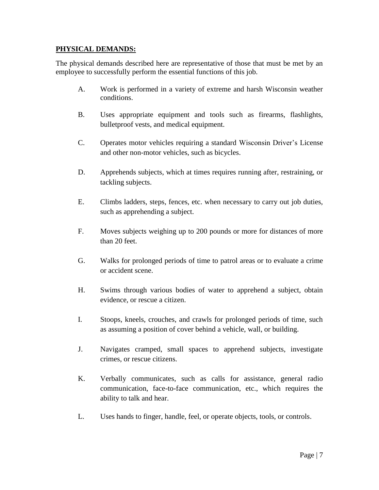### **PHYSICAL DEMANDS:**

The physical demands described here are representative of those that must be met by an employee to successfully perform the essential functions of this job.

- A. Work is performed in a variety of extreme and harsh Wisconsin weather conditions.
- B. Uses appropriate equipment and tools such as firearms, flashlights, bulletproof vests, and medical equipment.
- C. Operates motor vehicles requiring a standard Wisconsin Driver's License and other non-motor vehicles, such as bicycles.
- D. Apprehends subjects, which at times requires running after, restraining, or tackling subjects.
- E. Climbs ladders, steps, fences, etc. when necessary to carry out job duties, such as apprehending a subject.
- F. Moves subjects weighing up to 200 pounds or more for distances of more than 20 feet.
- G. Walks for prolonged periods of time to patrol areas or to evaluate a crime or accident scene.
- H. Swims through various bodies of water to apprehend a subject, obtain evidence, or rescue a citizen.
- I. Stoops, kneels, crouches, and crawls for prolonged periods of time, such as assuming a position of cover behind a vehicle, wall, or building.
- J. Navigates cramped, small spaces to apprehend subjects, investigate crimes, or rescue citizens.
- K. Verbally communicates, such as calls for assistance, general radio communication, face-to-face communication, etc., which requires the ability to talk and hear.
- L. Uses hands to finger, handle, feel, or operate objects, tools, or controls.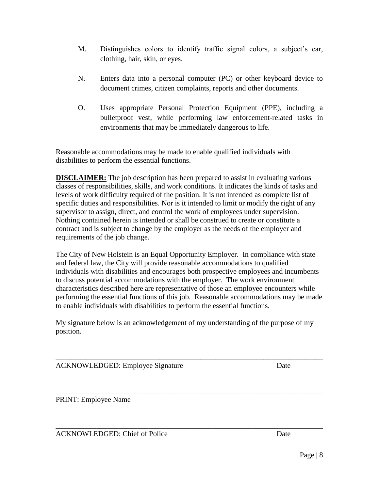bulletproof vest, while performing law enforcement-related tasks in environments that may be immediately dangerous to life.

Reasonable accommodations may be made to enable qualified individuals with disabilities to perform the essential functions.

clothing, hair, skin, or eyes.

**DISCLAIMER:** The job description has been prepared to assist in evaluating various classes of responsibilities, skills, and work conditions. It indicates the kinds of tasks and levels of work difficulty required of the position. It is not intended as complete list of specific duties and responsibilities. Nor is it intended to limit or modify the right of any supervisor to assign, direct, and control the work of employees under supervision. Nothing contained herein is intended or shall be construed to create or constitute a contract and is subject to change by the employer as the needs of the employer and requirements of the job change.

M. Distinguishes colors to identify traffic signal colors, a subject's car,

N. Enters data into a personal computer (PC) or other keyboard device to document crimes, citizen complaints, reports and other documents.

O. Uses appropriate Personal Protection Equipment (PPE), including a

The City of New Holstein is an Equal Opportunity Employer. In compliance with state and federal law, the City will provide reasonable accommodations to qualified individuals with disabilities and encourages both prospective employees and incumbents to discuss potential accommodations with the employer. The work environment characteristics described here are representative of those an employee encounters while performing the essential functions of this job. Reasonable accommodations may be made to enable individuals with disabilities to perform the essential functions.

My signature below is an acknowledgement of my understanding of the purpose of my position.

\_\_\_\_\_\_\_\_\_\_\_\_\_\_\_\_\_\_\_\_\_\_\_\_\_\_\_\_\_\_\_\_\_\_\_\_\_\_\_\_\_\_\_\_\_\_\_\_\_\_\_\_\_\_\_\_\_\_\_\_\_\_\_\_\_\_\_\_\_\_\_\_

\_\_\_\_\_\_\_\_\_\_\_\_\_\_\_\_\_\_\_\_\_\_\_\_\_\_\_\_\_\_\_\_\_\_\_\_\_\_\_\_\_\_\_\_\_\_\_\_\_\_\_\_\_\_\_\_\_\_\_\_\_\_\_\_\_\_\_\_\_\_\_\_

\_\_\_\_\_\_\_\_\_\_\_\_\_\_\_\_\_\_\_\_\_\_\_\_\_\_\_\_\_\_\_\_\_\_\_\_\_\_\_\_\_\_\_\_\_\_\_\_\_\_\_\_\_\_\_\_\_\_\_\_\_\_\_\_\_\_\_\_\_\_\_\_

ACKNOWLEDGED: Employee Signature Date

PRINT: Employee Name

ACKNOWLEDGED: Chief of Police Date Date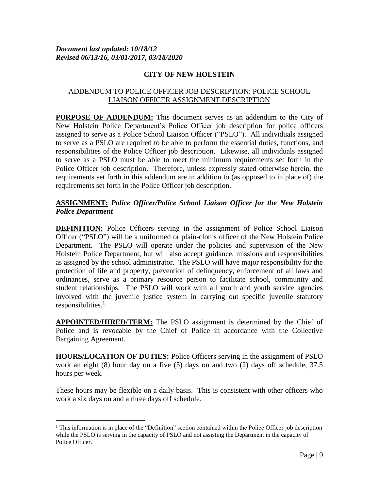# ADDENDUM TO POLICE OFFICER JOB DESCRIPTION: POLICE SCHOOL LIAISON OFFICER ASSIGNMENT DESCRIPTION

**PURPOSE OF ADDENDUM:** This document serves as an addendum to the City of New Holstein Police Department's Police Officer job description for police officers assigned to serve as a Police School Liaison Officer ("PSLO"). All individuals assigned to serve as a PSLO are required to be able to perform the essential duties, functions, and responsibilities of the Police Officer job description. Likewise, all individuals assigned to serve as a PSLO must be able to meet the minimum requirements set forth in the Police Officer job description. Therefore, unless expressly stated otherwise herein, the requirements set forth in this addendum are in addition to (as opposed to in place of) the requirements set forth in the Police Officer job description.

# **ASSIGNMENT:** *Police Officer/Police School Liaison Officer for the New Holstein Police Department*

**DEFINITION:** Police Officers serving in the assignment of Police School Liaison Officer ("PSLO") will be a uniformed or plain-cloths officer of the New Holstein Police Department. The PSLO will operate under the policies and supervision of the New Holstein Police Department, but will also accept guidance, missions and responsibilities as assigned by the school administrator. The PSLO will have major responsibility for the protection of life and property, prevention of delinquency, enforcement of all laws and ordinances, serve as a primary resource person to facilitate school, community and student relationships. The PSLO will work with all youth and youth service agencies involved with the juvenile justice system in carrying out specific juvenile statutory responsibilities.<sup>1</sup>

**APPOINTED/HIRED/TERM:** The PSLO assignment is determined by the Chief of Police and is revocable by the Chief of Police in accordance with the Collective Bargaining Agreement.

**HOURS/LOCATION OF DUTIES:** Police Officers serving in the assignment of PSLO work an eight (8) hour day on a five (5) days on and two (2) days off schedule, 37.5 hours per week.

These hours may be flexible on a daily basis. This is consistent with other officers who work a six days on and a three days off schedule.

 $\overline{a}$ 

<sup>&</sup>lt;sup>1</sup> This information is in place of the "Definition" section contained within the Police Officer job description while the PSLO is serving in the capacity of PSLO and not assisting the Department in the capacity of Police Officer.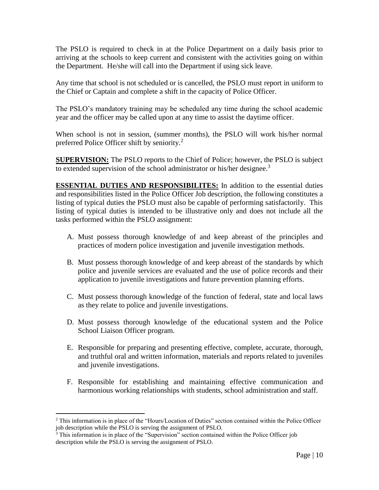The PSLO is required to check in at the Police Department on a daily basis prior to arriving at the schools to keep current and consistent with the activities going on within the Department. He/she will call into the Department if using sick leave.

Any time that school is not scheduled or is cancelled, the PSLO must report in uniform to the Chief or Captain and complete a shift in the capacity of Police Officer.

The PSLO's mandatory training may be scheduled any time during the school academic year and the officer may be called upon at any time to assist the daytime officer.

When school is not in session, (summer months), the PSLO will work his/her normal preferred Police Officer shift by seniority.<sup>2</sup>

**SUPERVISION:** The PSLO reports to the Chief of Police; however, the PSLO is subject to extended supervision of the school administrator or his/her designee.<sup>3</sup>

**ESSENTIAL DUTIES AND RESPONSIBILITES:** In addition to the essential duties and responsibilities listed in the Police Officer Job description, the following constitutes a listing of typical duties the PSLO must also be capable of performing satisfactorily. This listing of typical duties is intended to be illustrative only and does not include all the tasks performed within the PSLO assignment:

- A. Must possess thorough knowledge of and keep abreast of the principles and practices of modern police investigation and juvenile investigation methods.
- B. Must possess thorough knowledge of and keep abreast of the standards by which police and juvenile services are evaluated and the use of police records and their application to juvenile investigations and future prevention planning efforts.
- C. Must possess thorough knowledge of the function of federal, state and local laws as they relate to police and juvenile investigations.
- D. Must possess thorough knowledge of the educational system and the Police School Liaison Officer program.
- E. Responsible for preparing and presenting effective, complete, accurate, thorough, and truthful oral and written information, materials and reports related to juveniles and juvenile investigations.
- F. Responsible for establishing and maintaining effective communication and harmonious working relationships with students, school administration and staff.

 $\overline{a}$ 

<sup>2</sup> This information is in place of the "Hours/Location of Duties" section contained within the Police Officer job description while the PSLO is serving the assignment of PSLO.

<sup>&</sup>lt;sup>3</sup> This information is in place of the "Supervision" section contained within the Police Officer job description while the PSLO is serving the assignment of PSLO.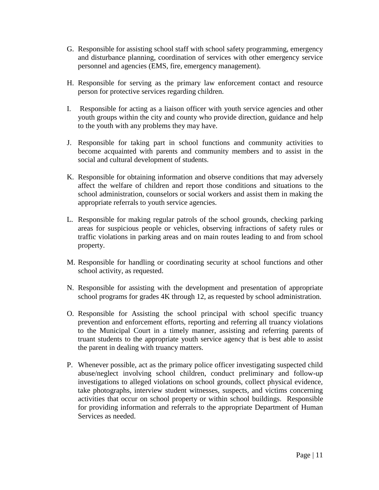- G. Responsible for assisting school staff with school safety programming, emergency and disturbance planning, coordination of services with other emergency service personnel and agencies (EMS, fire, emergency management).
- H. Responsible for serving as the primary law enforcement contact and resource person for protective services regarding children.
- I. Responsible for acting as a liaison officer with youth service agencies and other youth groups within the city and county who provide direction, guidance and help to the youth with any problems they may have.
- J. Responsible for taking part in school functions and community activities to become acquainted with parents and community members and to assist in the social and cultural development of students.
- K. Responsible for obtaining information and observe conditions that may adversely affect the welfare of children and report those conditions and situations to the school administration, counselors or social workers and assist them in making the appropriate referrals to youth service agencies.
- L. Responsible for making regular patrols of the school grounds, checking parking areas for suspicious people or vehicles, observing infractions of safety rules or traffic violations in parking areas and on main routes leading to and from school property.
- M. Responsible for handling or coordinating security at school functions and other school activity, as requested.
- N. Responsible for assisting with the development and presentation of appropriate school programs for grades 4K through 12, as requested by school administration.
- O. Responsible for Assisting the school principal with school specific truancy prevention and enforcement efforts, reporting and referring all truancy violations to the Municipal Court in a timely manner, assisting and referring parents of truant students to the appropriate youth service agency that is best able to assist the parent in dealing with truancy matters.
- P. Whenever possible, act as the primary police officer investigating suspected child abuse/neglect involving school children, conduct preliminary and follow-up investigations to alleged violations on school grounds, collect physical evidence, take photographs, interview student witnesses, suspects, and victims concerning activities that occur on school property or within school buildings. Responsible for providing information and referrals to the appropriate Department of Human Services as needed.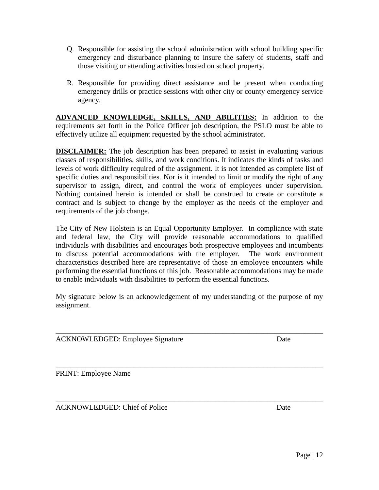- Q. Responsible for assisting the school administration with school building specific emergency and disturbance planning to insure the safety of students, staff and those visiting or attending activities hosted on school property.
- R. Responsible for providing direct assistance and be present when conducting emergency drills or practice sessions with other city or county emergency service agency.

**ADVANCED KNOWLEDGE, SKILLS, AND ABILITIES:** In addition to the requirements set forth in the Police Officer job description, the PSLO must be able to effectively utilize all equipment requested by the school administrator.

**DISCLAIMER:** The job description has been prepared to assist in evaluating various classes of responsibilities, skills, and work conditions. It indicates the kinds of tasks and levels of work difficulty required of the assignment. It is not intended as complete list of specific duties and responsibilities. Nor is it intended to limit or modify the right of any supervisor to assign, direct, and control the work of employees under supervision. Nothing contained herein is intended or shall be construed to create or constitute a contract and is subject to change by the employer as the needs of the employer and requirements of the job change.

The City of New Holstein is an Equal Opportunity Employer. In compliance with state and federal law, the City will provide reasonable accommodations to qualified individuals with disabilities and encourages both prospective employees and incumbents to discuss potential accommodations with the employer. The work environment characteristics described here are representative of those an employee encounters while performing the essential functions of this job. Reasonable accommodations may be made to enable individuals with disabilities to perform the essential functions.

My signature below is an acknowledgement of my understanding of the purpose of my assignment.

\_\_\_\_\_\_\_\_\_\_\_\_\_\_\_\_\_\_\_\_\_\_\_\_\_\_\_\_\_\_\_\_\_\_\_\_\_\_\_\_\_\_\_\_\_\_\_\_\_\_\_\_\_\_\_\_\_\_\_\_\_\_\_\_\_\_\_\_\_\_\_\_

\_\_\_\_\_\_\_\_\_\_\_\_\_\_\_\_\_\_\_\_\_\_\_\_\_\_\_\_\_\_\_\_\_\_\_\_\_\_\_\_\_\_\_\_\_\_\_\_\_\_\_\_\_\_\_\_\_\_\_\_\_\_\_\_\_\_\_\_\_\_\_\_

ACKNOWLEDGED: Employee Signature Date

PRINT: Employee Name

\_\_\_\_\_\_\_\_\_\_\_\_\_\_\_\_\_\_\_\_\_\_\_\_\_\_\_\_\_\_\_\_\_\_\_\_\_\_\_\_\_\_\_\_\_\_\_\_\_\_\_\_\_\_\_\_\_\_\_\_\_\_\_\_\_\_\_\_\_\_\_\_ ACKNOWLEDGED: Chief of Police Date Date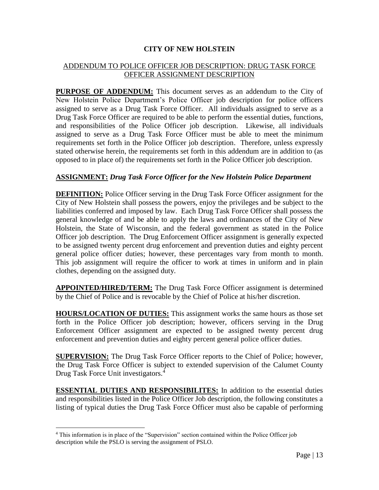# ADDENDUM TO POLICE OFFICER JOB DESCRIPTION: DRUG TASK FORCE OFFICER ASSIGNMENT DESCRIPTION

**PURPOSE OF ADDENDUM:** This document serves as an addendum to the City of New Holstein Police Department's Police Officer job description for police officers assigned to serve as a Drug Task Force Officer. All individuals assigned to serve as a Drug Task Force Officer are required to be able to perform the essential duties, functions, and responsibilities of the Police Officer job description. Likewise, all individuals assigned to serve as a Drug Task Force Officer must be able to meet the minimum requirements set forth in the Police Officer job description. Therefore, unless expressly stated otherwise herein, the requirements set forth in this addendum are in addition to (as opposed to in place of) the requirements set forth in the Police Officer job description.

#### **ASSIGNMENT:** *Drug Task Force Officer for the New Holstein Police Department*

**DEFINITION:** Police Officer serving in the Drug Task Force Officer assignment for the City of New Holstein shall possess the powers, enjoy the privileges and be subject to the liabilities conferred and imposed by law. Each Drug Task Force Officer shall possess the general knowledge of and be able to apply the laws and ordinances of the City of New Holstein, the State of Wisconsin, and the federal government as stated in the Police Officer job description. The Drug Enforcement Officer assignment is generally expected to be assigned twenty percent drug enforcement and prevention duties and eighty percent general police officer duties; however, these percentages vary from month to month. This job assignment will require the officer to work at times in uniform and in plain clothes, depending on the assigned duty.

**APPOINTED/HIRED/TERM:** The Drug Task Force Officer assignment is determined by the Chief of Police and is revocable by the Chief of Police at his/her discretion.

**HOURS/LOCATION OF DUTIES:** This assignment works the same hours as those set forth in the Police Officer job description; however, officers serving in the Drug Enforcement Officer assignment are expected to be assigned twenty percent drug enforcement and prevention duties and eighty percent general police officer duties.

**SUPERVISION:** The Drug Task Force Officer reports to the Chief of Police; however, the Drug Task Force Officer is subject to extended supervision of the Calumet County Drug Task Force Unit investigators. 4

**ESSENTIAL DUTIES AND RESPONSIBILITES:** In addition to the essential duties and responsibilities listed in the Police Officer Job description, the following constitutes a listing of typical duties the Drug Task Force Officer must also be capable of performing

 $\overline{a}$ 

<sup>4</sup> This information is in place of the "Supervision" section contained within the Police Officer job description while the PSLO is serving the assignment of PSLO.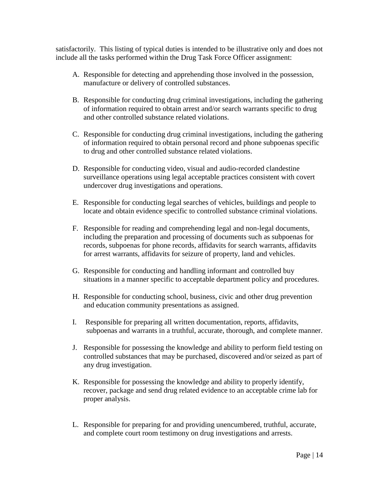satisfactorily. This listing of typical duties is intended to be illustrative only and does not include all the tasks performed within the Drug Task Force Officer assignment:

- A. Responsible for detecting and apprehending those involved in the possession, manufacture or delivery of controlled substances.
- B. Responsible for conducting drug criminal investigations, including the gathering of information required to obtain arrest and/or search warrants specific to drug and other controlled substance related violations.
- C. Responsible for conducting drug criminal investigations, including the gathering of information required to obtain personal record and phone subpoenas specific to drug and other controlled substance related violations.
- D. Responsible for conducting video, visual and audio-recorded clandestine surveillance operations using legal acceptable practices consistent with covert undercover drug investigations and operations.
- E. Responsible for conducting legal searches of vehicles, buildings and people to locate and obtain evidence specific to controlled substance criminal violations.
- F. Responsible for reading and comprehending legal and non-legal documents, including the preparation and processing of documents such as subpoenas for records, subpoenas for phone records, affidavits for search warrants, affidavits for arrest warrants, affidavits for seizure of property, land and vehicles.
- G. Responsible for conducting and handling informant and controlled buy situations in a manner specific to acceptable department policy and procedures.
- H. Responsible for conducting school, business, civic and other drug prevention and education community presentations as assigned.
- I. Responsible for preparing all written documentation, reports, affidavits, subpoenas and warrants in a truthful, accurate, thorough, and complete manner.
- J. Responsible for possessing the knowledge and ability to perform field testing on controlled substances that may be purchased, discovered and/or seized as part of any drug investigation.
- K. Responsible for possessing the knowledge and ability to properly identify, recover, package and send drug related evidence to an acceptable crime lab for proper analysis.
- L. Responsible for preparing for and providing unencumbered, truthful, accurate, and complete court room testimony on drug investigations and arrests.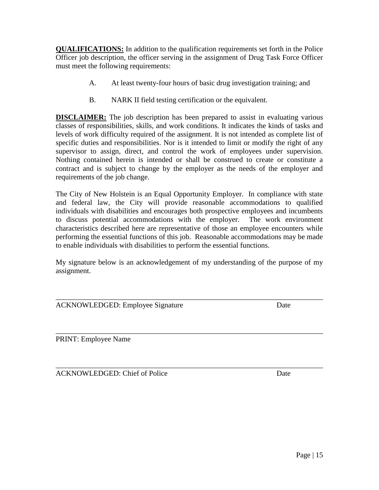**QUALIFICATIONS:** In addition to the qualification requirements set forth in the Police Officer job description, the officer serving in the assignment of Drug Task Force Officer must meet the following requirements:

- A. At least twenty-four hours of basic drug investigation training; and
- B. NARK II field testing certification or the equivalent.

**DISCLAIMER:** The job description has been prepared to assist in evaluating various classes of responsibilities, skills, and work conditions. It indicates the kinds of tasks and levels of work difficulty required of the assignment. It is not intended as complete list of specific duties and responsibilities. Nor is it intended to limit or modify the right of any supervisor to assign, direct, and control the work of employees under supervision. Nothing contained herein is intended or shall be construed to create or constitute a contract and is subject to change by the employer as the needs of the employer and requirements of the job change.

The City of New Holstein is an Equal Opportunity Employer. In compliance with state and federal law, the City will provide reasonable accommodations to qualified individuals with disabilities and encourages both prospective employees and incumbents to discuss potential accommodations with the employer. The work environment characteristics described here are representative of those an employee encounters while performing the essential functions of this job. Reasonable accommodations may be made to enable individuals with disabilities to perform the essential functions.

My signature below is an acknowledgement of my understanding of the purpose of my assignment.

\_\_\_\_\_\_\_\_\_\_\_\_\_\_\_\_\_\_\_\_\_\_\_\_\_\_\_\_\_\_\_\_\_\_\_\_\_\_\_\_\_\_\_\_\_\_\_\_\_\_\_\_\_\_\_\_\_\_\_\_\_\_\_\_\_\_\_\_\_\_\_\_

\_\_\_\_\_\_\_\_\_\_\_\_\_\_\_\_\_\_\_\_\_\_\_\_\_\_\_\_\_\_\_\_\_\_\_\_\_\_\_\_\_\_\_\_\_\_\_\_\_\_\_\_\_\_\_\_\_\_\_\_\_\_\_\_\_\_\_\_\_\_\_\_

| <b>ACKNOWLEDGED: Employee Signature</b> | Date |
|-----------------------------------------|------|
|                                         |      |

\_\_\_\_\_\_\_\_\_\_\_\_\_\_\_\_\_\_\_\_\_\_\_\_\_\_\_\_\_\_\_\_\_\_\_\_\_\_\_\_\_\_\_\_\_\_\_\_\_\_\_\_\_\_\_\_\_\_\_\_\_\_\_\_\_\_\_\_\_\_\_\_ PRINT: Employee Name

ACKNOWLEDGED: Chief of Police Date Date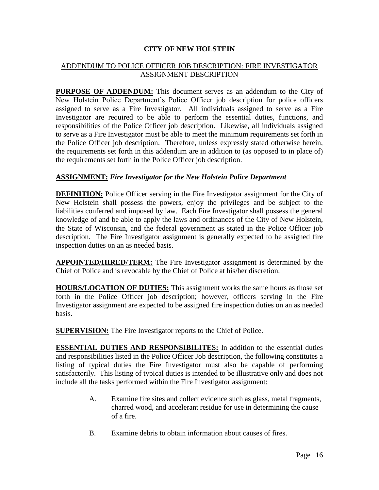#### ADDENDUM TO POLICE OFFICER JOB DESCRIPTION: FIRE INVESTIGATOR ASSIGNMENT DESCRIPTION

**PURPOSE OF ADDENDUM:** This document serves as an addendum to the City of New Holstein Police Department's Police Officer job description for police officers assigned to serve as a Fire Investigator. All individuals assigned to serve as a Fire Investigator are required to be able to perform the essential duties, functions, and responsibilities of the Police Officer job description. Likewise, all individuals assigned to serve as a Fire Investigator must be able to meet the minimum requirements set forth in the Police Officer job description. Therefore, unless expressly stated otherwise herein, the requirements set forth in this addendum are in addition to (as opposed to in place of) the requirements set forth in the Police Officer job description.

#### **ASSIGNMENT:** *Fire Investigator for the New Holstein Police Department*

**DEFINITION:** Police Officer serving in the Fire Investigator assignment for the City of New Holstein shall possess the powers, enjoy the privileges and be subject to the liabilities conferred and imposed by law. Each Fire Investigator shall possess the general knowledge of and be able to apply the laws and ordinances of the City of New Holstein, the State of Wisconsin, and the federal government as stated in the Police Officer job description. The Fire Investigator assignment is generally expected to be assigned fire inspection duties on an as needed basis.

**APPOINTED/HIRED/TERM:** The Fire Investigator assignment is determined by the Chief of Police and is revocable by the Chief of Police at his/her discretion.

**HOURS/LOCATION OF DUTIES:** This assignment works the same hours as those set forth in the Police Officer job description; however, officers serving in the Fire Investigator assignment are expected to be assigned fire inspection duties on an as needed basis.

**SUPERVISION:** The Fire Investigator reports to the Chief of Police.

**ESSENTIAL DUTIES AND RESPONSIBILITES:** In addition to the essential duties and responsibilities listed in the Police Officer Job description, the following constitutes a listing of typical duties the Fire Investigator must also be capable of performing satisfactorily. This listing of typical duties is intended to be illustrative only and does not include all the tasks performed within the Fire Investigator assignment:

- A. Examine fire sites and collect evidence such as glass, metal fragments, charred wood, and accelerant residue for use in determining the cause of a fire.
- B. Examine debris to obtain information about causes of fires.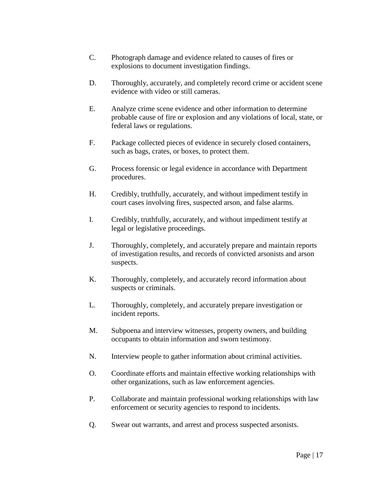- C. Photograph damage and evidence related to causes of fires or explosions to document investigation findings.
- D. Thoroughly, accurately, and completely record crime or accident scene evidence with video or still cameras.
- E. Analyze crime scene evidence and other information to determine probable cause of fire or explosion and any violations of local, state, or federal laws or regulations.
- F. Package collected pieces of evidence in securely closed containers, such as bags, crates, or boxes, to protect them.
- G. Process forensic or legal evidence in accordance with Department procedures.
- H. Credibly, truthfully, accurately, and without impediment testify in court cases involving fires, suspected arson, and false alarms.
- I. Credibly, truthfully, accurately, and without impediment testify at legal or legislative proceedings.
- J. Thoroughly, completely, and accurately prepare and maintain reports of investigation results, and records of convicted arsonists and arson suspects.
- K. Thoroughly, completely, and accurately record information about suspects or criminals.
- L. Thoroughly, completely, and accurately prepare investigation or incident reports.
- M. Subpoena and interview witnesses, property owners, and building occupants to obtain information and sworn testimony.
- N. Interview people to gather information about criminal activities.
- O. Coordinate efforts and maintain effective working relationships with other organizations, such as law enforcement agencies.
- P. Collaborate and maintain professional working relationships with law enforcement or security agencies to respond to incidents.
- Q. Swear out warrants, and arrest and process suspected arsonists.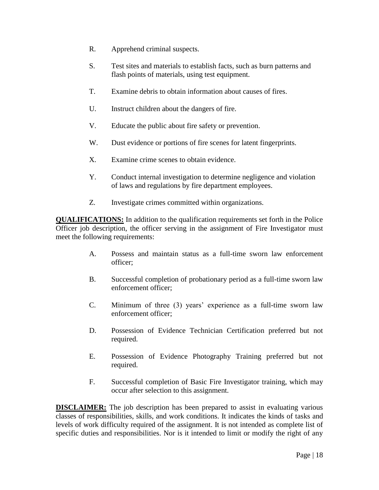- R. Apprehend criminal suspects.
- S. Test sites and materials to establish facts, such as burn patterns and flash points of materials, using test equipment.
- T. Examine debris to obtain information about causes of fires.
- U. Instruct children about the dangers of fire.
- V. Educate the public about fire safety or prevention.
- W. Dust evidence or portions of fire scenes for latent fingerprints.
- X. Examine crime scenes to obtain evidence.
- Y. Conduct internal investigation to determine negligence and violation of laws and regulations by fire department employees.
- Z. Investigate crimes committed within organizations.

**QUALIFICATIONS:** In addition to the qualification requirements set forth in the Police Officer job description, the officer serving in the assignment of Fire Investigator must meet the following requirements:

- A. Possess and maintain status as a full-time sworn law enforcement officer;
- B. Successful completion of probationary period as a full-time sworn law enforcement officer;
- C. Minimum of three (3) years' experience as a full-time sworn law enforcement officer;
- D. Possession of Evidence Technician Certification preferred but not required.
- E. Possession of Evidence Photography Training preferred but not required.
- F. Successful completion of Basic Fire Investigator training, which may occur after selection to this assignment.

**DISCLAIMER:** The job description has been prepared to assist in evaluating various classes of responsibilities, skills, and work conditions. It indicates the kinds of tasks and levels of work difficulty required of the assignment. It is not intended as complete list of specific duties and responsibilities. Nor is it intended to limit or modify the right of any